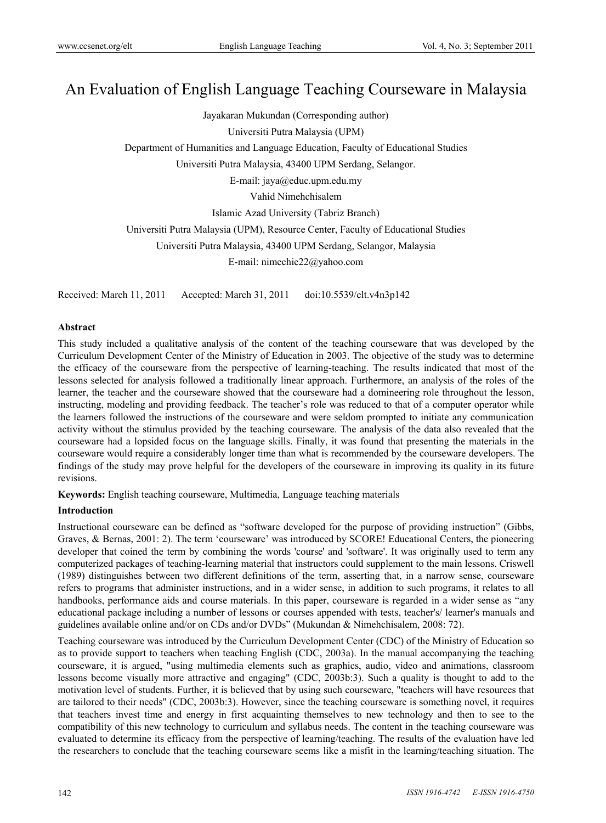# An Evaluation of English Language Teaching Courseware in Malaysia

Jayakaran Mukundan (Corresponding author) Universiti Putra Malaysia (UPM) Department of Humanities and Language Education, Faculty of Educational Studies Universiti Putra Malaysia, 43400 UPM Serdang, Selangor. E-mail: jaya@educ.upm.edu.my Vahid Nimehchisalem Islamic Azad University (Tabriz Branch) Universiti Putra Malaysia (UPM), Resource Center, Faculty of Educational Studies Universiti Putra Malaysia, 43400 UPM Serdang, Selangor, Malaysia E-mail: nimechie22@yahoo.com

Received: March 11, 2011 Accepted: March 31, 2011 doi:10.5539/elt.v4n3p142

# **Abstract**

This study included a qualitative analysis of the content of the teaching courseware that was developed by the Curriculum Development Center of the Ministry of Education in 2003. The objective of the study was to determine the efficacy of the courseware from the perspective of learning-teaching. The results indicated that most of the lessons selected for analysis followed a traditionally linear approach. Furthermore, an analysis of the roles of the learner, the teacher and the courseware showed that the courseware had a domineering role throughout the lesson, instructing, modeling and providing feedback. The teacher's role was reduced to that of a computer operator while the learners followed the instructions of the courseware and were seldom prompted to initiate any communication activity without the stimulus provided by the teaching courseware. The analysis of the data also revealed that the courseware had a lopsided focus on the language skills. Finally, it was found that presenting the materials in the courseware would require a considerably longer time than what is recommended by the courseware developers. The findings of the study may prove helpful for the developers of the courseware in improving its quality in its future revisions.

**Keywords:** English teaching courseware, Multimedia, Language teaching materials

# **Introduction**

Instructional courseware can be defined as "software developed for the purpose of providing instruction" (Gibbs, Graves, & Bernas, 2001: 2). The term 'courseware' was introduced by SCORE! Educational Centers, the pioneering developer that coined the term by combining the words 'course' and 'software'. It was originally used to term any computerized packages of teaching-learning material that instructors could supplement to the main lessons. Criswell (1989) distinguishes between two different definitions of the term, asserting that, in a narrow sense, courseware refers to programs that administer instructions, and in a wider sense, in addition to such programs, it relates to all handbooks, performance aids and course materials. In this paper, courseware is regarded in a wider sense as "any educational package including a number of lessons or courses appended with tests, teacher's/ learner's manuals and guidelines available online and/or on CDs and/or DVDs" (Mukundan & Nimehchisalem, 2008: 72).

Teaching courseware was introduced by the Curriculum Development Center (CDC) of the Ministry of Education so as to provide support to teachers when teaching English (CDC, 2003a). In the manual accompanying the teaching courseware, it is argued, "using multimedia elements such as graphics, audio, video and animations, classroom lessons become visually more attractive and engaging" (CDC, 2003b:3). Such a quality is thought to add to the motivation level of students. Further, it is believed that by using such courseware, "teachers will have resources that are tailored to their needs" (CDC, 2003b:3). However, since the teaching courseware is something novel, it requires that teachers invest time and energy in first acquainting themselves to new technology and then to see to the compatibility of this new technology to curriculum and syllabus needs. The content in the teaching courseware was evaluated to determine its efficacy from the perspective of learning/teaching. The results of the evaluation have led the researchers to conclude that the teaching courseware seems like a misfit in the learning/teaching situation. The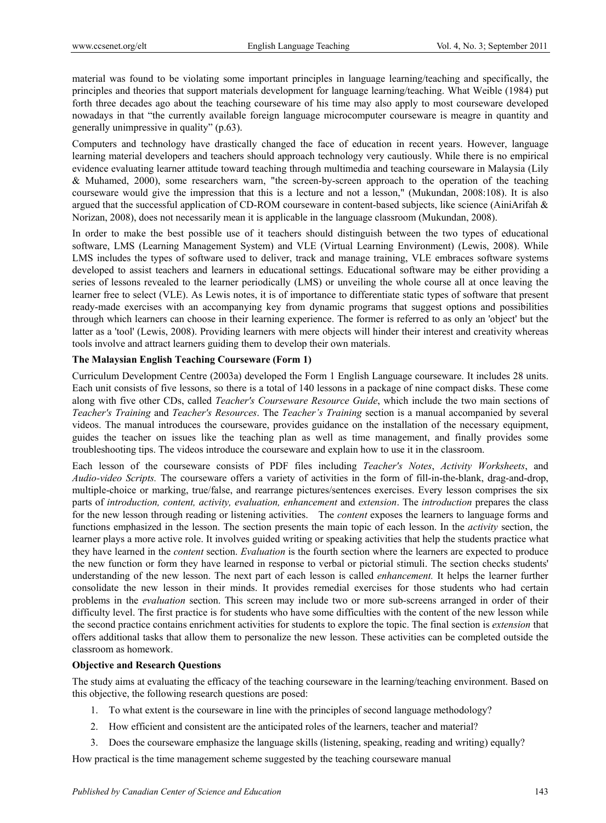material was found to be violating some important principles in language learning/teaching and specifically, the principles and theories that support materials development for language learning/teaching. What Weible (1984) put forth three decades ago about the teaching courseware of his time may also apply to most courseware developed nowadays in that "the currently available foreign language microcomputer courseware is meagre in quantity and generally unimpressive in quality" (p.63).

Computers and technology have drastically changed the face of education in recent years. However, language learning material developers and teachers should approach technology very cautiously. While there is no empirical evidence evaluating learner attitude toward teaching through multimedia and teaching courseware in Malaysia (Lily & Muhamed, 2000), some researchers warn, "the screen-by-screen approach to the operation of the teaching courseware would give the impression that this is a lecture and not a lesson," (Mukundan, 2008:108). It is also argued that the successful application of CD-ROM courseware in content-based subjects, like science (AiniArifah & Norizan, 2008), does not necessarily mean it is applicable in the language classroom (Mukundan, 2008).

In order to make the best possible use of it teachers should distinguish between the two types of educational software, LMS (Learning Management System) and VLE (Virtual Learning Environment) (Lewis, 2008). While LMS includes the types of software used to deliver, track and manage training, VLE embraces software systems developed to assist teachers and learners in educational settings. Educational software may be either providing a series of lessons revealed to the learner periodically (LMS) or unveiling the whole course all at once leaving the learner free to select (VLE). As Lewis notes, it is of importance to differentiate static types of software that present ready-made exercises with an accompanying key from dynamic programs that suggest options and possibilities through which learners can choose in their learning experience. The former is referred to as only an 'object' but the latter as a 'tool' (Lewis, 2008). Providing learners with mere objects will hinder their interest and creativity whereas tools involve and attract learners guiding them to develop their own materials.

# **The Malaysian English Teaching Courseware (Form 1)**

Curriculum Development Centre (2003a) developed the Form 1 English Language courseware. It includes 28 units. Each unit consists of five lessons, so there is a total of 140 lessons in a package of nine compact disks. These come along with five other CDs, called *Teacher's Courseware Resource Guide*, which include the two main sections of *Teacher's Training* and *Teacher's Resources*. The *Teacher's Training* section is a manual accompanied by several videos. The manual introduces the courseware, provides guidance on the installation of the necessary equipment, guides the teacher on issues like the teaching plan as well as time management, and finally provides some troubleshooting tips. The videos introduce the courseware and explain how to use it in the classroom.

Each lesson of the courseware consists of PDF files including *Teacher's Notes*, *Activity Worksheets*, and *Audio-video Scripts.* The courseware offers a variety of activities in the form of fill-in-the-blank, drag-and-drop, multiple-choice or marking, true/false, and rearrange pictures/sentences exercises. Every lesson comprises the six parts of *introduction, content, activity, evaluation, enhancement* and *extension*. The *introduction* prepares the class for the new lesson through reading or listening activities. The *content* exposes the learners to language forms and functions emphasized in the lesson. The section presents the main topic of each lesson. In the *activity* section, the learner plays a more active role. It involves guided writing or speaking activities that help the students practice what they have learned in the *content* section. *Evaluation* is the fourth section where the learners are expected to produce the new function or form they have learned in response to verbal or pictorial stimuli. The section checks students' understanding of the new lesson. The next part of each lesson is called *enhancement.* It helps the learner further consolidate the new lesson in their minds. It provides remedial exercises for those students who had certain problems in the *evaluation* section. This screen may include two or more sub-screens arranged in order of their difficulty level. The first practice is for students who have some difficulties with the content of the new lesson while the second practice contains enrichment activities for students to explore the topic. The final section is *extension* that offers additional tasks that allow them to personalize the new lesson. These activities can be completed outside the classroom as homework.

# **Objective and Research Questions**

The study aims at evaluating the efficacy of the teaching courseware in the learning/teaching environment. Based on this objective, the following research questions are posed:

- 1. To what extent is the courseware in line with the principles of second language methodology?
- 2. How efficient and consistent are the anticipated roles of the learners, teacher and material?
- 3. Does the courseware emphasize the language skills (listening, speaking, reading and writing) equally?

How practical is the time management scheme suggested by the teaching courseware manual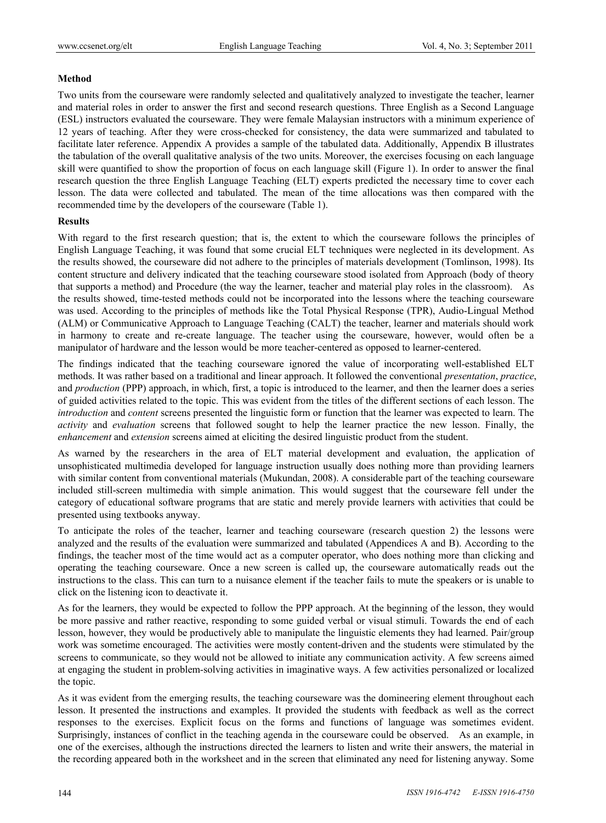# **Method**

Two units from the courseware were randomly selected and qualitatively analyzed to investigate the teacher, learner and material roles in order to answer the first and second research questions. Three English as a Second Language (ESL) instructors evaluated the courseware. They were female Malaysian instructors with a minimum experience of 12 years of teaching. After they were cross-checked for consistency, the data were summarized and tabulated to facilitate later reference. Appendix A provides a sample of the tabulated data. Additionally, Appendix B illustrates the tabulation of the overall qualitative analysis of the two units. Moreover, the exercises focusing on each language skill were quantified to show the proportion of focus on each language skill (Figure 1). In order to answer the final research question the three English Language Teaching (ELT) experts predicted the necessary time to cover each lesson. The data were collected and tabulated. The mean of the time allocations was then compared with the recommended time by the developers of the courseware (Table 1).

# **Results**

With regard to the first research question; that is, the extent to which the courseware follows the principles of English Language Teaching, it was found that some crucial ELT techniques were neglected in its development. As the results showed, the courseware did not adhere to the principles of materials development (Tomlinson, 1998). Its content structure and delivery indicated that the teaching courseware stood isolated from Approach (body of theory that supports a method) and Procedure (the way the learner, teacher and material play roles in the classroom). As the results showed, time-tested methods could not be incorporated into the lessons where the teaching courseware was used. According to the principles of methods like the Total Physical Response (TPR), Audio-Lingual Method (ALM) or Communicative Approach to Language Teaching (CALT) the teacher, learner and materials should work in harmony to create and re-create language. The teacher using the courseware, however, would often be a manipulator of hardware and the lesson would be more teacher-centered as opposed to learner-centered.

The findings indicated that the teaching courseware ignored the value of incorporating well-established ELT methods. It was rather based on a traditional and linear approach. It followed the conventional *presentation*, *practice*, and *production* (PPP) approach, in which, first, a topic is introduced to the learner, and then the learner does a series of guided activities related to the topic. This was evident from the titles of the different sections of each lesson. The *introduction* and *content* screens presented the linguistic form or function that the learner was expected to learn. The *activity* and *evaluation* screens that followed sought to help the learner practice the new lesson. Finally, the *enhancement* and *extension* screens aimed at eliciting the desired linguistic product from the student.

As warned by the researchers in the area of ELT material development and evaluation, the application of unsophisticated multimedia developed for language instruction usually does nothing more than providing learners with similar content from conventional materials (Mukundan, 2008). A considerable part of the teaching courseware included still-screen multimedia with simple animation. This would suggest that the courseware fell under the category of educational software programs that are static and merely provide learners with activities that could be presented using textbooks anyway.

To anticipate the roles of the teacher, learner and teaching courseware (research question 2) the lessons were analyzed and the results of the evaluation were summarized and tabulated (Appendices A and B). According to the findings, the teacher most of the time would act as a computer operator, who does nothing more than clicking and operating the teaching courseware. Once a new screen is called up, the courseware automatically reads out the instructions to the class. This can turn to a nuisance element if the teacher fails to mute the speakers or is unable to click on the listening icon to deactivate it.

As for the learners, they would be expected to follow the PPP approach. At the beginning of the lesson, they would be more passive and rather reactive, responding to some guided verbal or visual stimuli. Towards the end of each lesson, however, they would be productively able to manipulate the linguistic elements they had learned. Pair/group work was sometime encouraged. The activities were mostly content-driven and the students were stimulated by the screens to communicate, so they would not be allowed to initiate any communication activity. A few screens aimed at engaging the student in problem-solving activities in imaginative ways. A few activities personalized or localized the topic.

As it was evident from the emerging results, the teaching courseware was the domineering element throughout each lesson. It presented the instructions and examples. It provided the students with feedback as well as the correct responses to the exercises. Explicit focus on the forms and functions of language was sometimes evident. Surprisingly, instances of conflict in the teaching agenda in the courseware could be observed. As an example, in one of the exercises, although the instructions directed the learners to listen and write their answers, the material in the recording appeared both in the worksheet and in the screen that eliminated any need for listening anyway. Some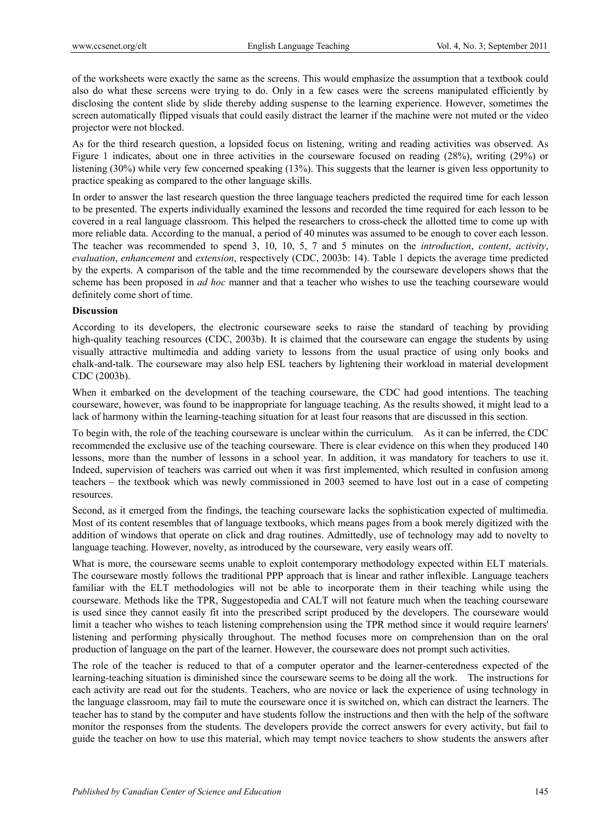of the worksheets were exactly the same as the screens. This would emphasize the assumption that a textbook could also do what these screens were trying to do. Only in a few cases were the screens manipulated efficiently by disclosing the content slide by slide thereby adding suspense to the learning experience. However, sometimes the screen automatically flipped visuals that could easily distract the learner if the machine were not muted or the video projector were not blocked.

As for the third research question, a lopsided focus on listening, writing and reading activities was observed. As Figure 1 indicates, about one in three activities in the courseware focused on reading (28%), writing (29%) or listening (30%) while very few concerned speaking (13%). This suggests that the learner is given less opportunity to practice speaking as compared to the other language skills.

In order to answer the last research question the three language teachers predicted the required time for each lesson to be presented. The experts individually examined the lessons and recorded the time required for each lesson to be covered in a real language classroom. This helped the researchers to cross-check the allotted time to come up with more reliable data. According to the manual, a period of 40 minutes was assumed to be enough to cover each lesson. The teacher was recommended to spend 3, 10, 10, 5, 7 and 5 minutes on the *introduction*, *content*, *activity*, *evaluation*, *enhancement* and *extension*, respectively (CDC, 2003b: 14). Table 1 depicts the average time predicted by the experts. A comparison of the table and the time recommended by the courseware developers shows that the scheme has been proposed in *ad hoc* manner and that a teacher who wishes to use the teaching courseware would definitely come short of time.

# **Discussion**

According to its developers, the electronic courseware seeks to raise the standard of teaching by providing high-quality teaching resources (CDC, 2003b). It is claimed that the courseware can engage the students by using visually attractive multimedia and adding variety to lessons from the usual practice of using only books and chalk-and-talk. The courseware may also help ESL teachers by lightening their workload in material development CDC (2003b).

When it embarked on the development of the teaching courseware, the CDC had good intentions. The teaching courseware, however, was found to be inappropriate for language teaching. As the results showed, it might lead to a lack of harmony within the learning-teaching situation for at least four reasons that are discussed in this section.

To begin with, the role of the teaching courseware is unclear within the curriculum. As it can be inferred, the CDC recommended the exclusive use of the teaching courseware. There is clear evidence on this when they produced 140 lessons, more than the number of lessons in a school year. In addition, it was mandatory for teachers to use it. Indeed, supervision of teachers was carried out when it was first implemented, which resulted in confusion among teachers – the textbook which was newly commissioned in 2003 seemed to have lost out in a case of competing resources.

Second, as it emerged from the findings, the teaching courseware lacks the sophistication expected of multimedia. Most of its content resembles that of language textbooks, which means pages from a book merely digitized with the addition of windows that operate on click and drag routines. Admittedly, use of technology may add to novelty to language teaching. However, novelty, as introduced by the courseware, very easily wears off.

What is more, the courseware seems unable to exploit contemporary methodology expected within ELT materials. The courseware mostly follows the traditional PPP approach that is linear and rather inflexible. Language teachers familiar with the ELT methodologies will not be able to incorporate them in their teaching while using the courseware. Methods like the TPR, Suggestopedia and CALT will not feature much when the teaching courseware is used since they cannot easily fit into the prescribed script produced by the developers. The courseware would limit a teacher who wishes to teach listening comprehension using the TPR method since it would require learners' listening and performing physically throughout. The method focuses more on comprehension than on the oral production of language on the part of the learner. However, the courseware does not prompt such activities.

The role of the teacher is reduced to that of a computer operator and the learner-centeredness expected of the learning-teaching situation is diminished since the courseware seems to be doing all the work. The instructions for each activity are read out for the students. Teachers, who are novice or lack the experience of using technology in the language classroom, may fail to mute the courseware once it is switched on, which can distract the learners. The teacher has to stand by the computer and have students follow the instructions and then with the help of the software monitor the responses from the students. The developers provide the correct answers for every activity, but fail to guide the teacher on how to use this material, which may tempt novice teachers to show students the answers after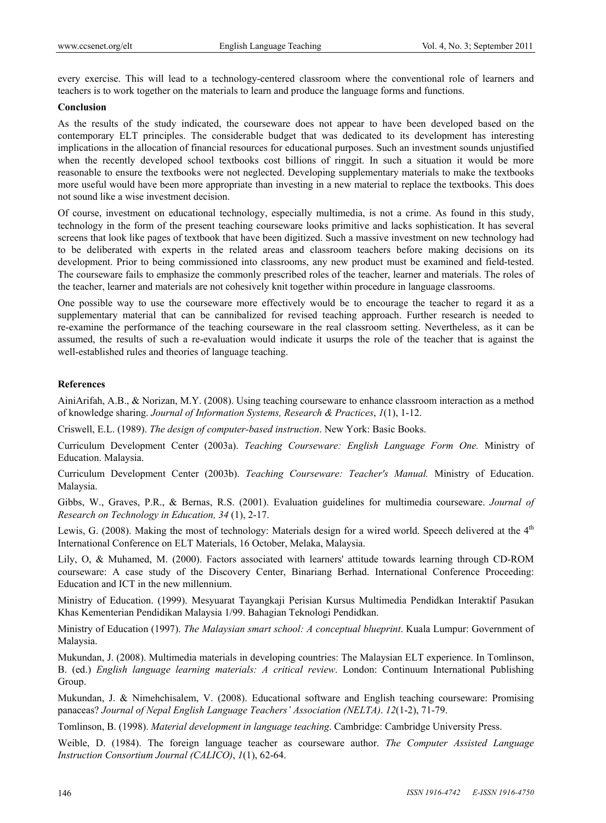every exercise. This will lead to a technology-centered classroom where the conventional role of learners and teachers is to work together on the materials to learn and produce the language forms and functions.

#### **Conclusion**

As the results of the study indicated, the courseware does not appear to have been developed based on the contemporary ELT principles. The considerable budget that was dedicated to its development has interesting implications in the allocation of financial resources for educational purposes. Such an investment sounds unjustified when the recently developed school textbooks cost billions of ringgit. In such a situation it would be more reasonable to ensure the textbooks were not neglected. Developing supplementary materials to make the textbooks more useful would have been more appropriate than investing in a new material to replace the textbooks. This does not sound like a wise investment decision.

Of course, investment on educational technology, especially multimedia, is not a crime. As found in this study, technology in the form of the present teaching courseware looks primitive and lacks sophistication. It has several screens that look like pages of textbook that have been digitized. Such a massive investment on new technology had to be deliberated with experts in the related areas and classroom teachers before making decisions on its development. Prior to being commissioned into classrooms, any new product must be examined and field-tested. The courseware fails to emphasize the commonly prescribed roles of the teacher, learner and materials. The roles of the teacher, learner and materials are not cohesively knit together within procedure in language classrooms.

One possible way to use the courseware more effectively would be to encourage the teacher to regard it as a supplementary material that can be cannibalized for revised teaching approach. Further research is needed to re-examine the performance of the teaching courseware in the real classroom setting. Nevertheless, as it can be assumed, the results of such a re-evaluation would indicate it usurps the role of the teacher that is against the well-established rules and theories of language teaching.

# **References**

AiniArifah, A.B., & Norizan, M.Y. (2008). Using teaching courseware to enhance classroom interaction as a method of knowledge sharing. *Journal of Information Systems, Research & Practices*, *1*(1), 1-12.

Criswell, E.L. (1989). *The design of computer-based instruction*. New York: Basic Books.

Curriculum Development Center (2003a). *Teaching Courseware: English Language Form One.* Ministry of Education. Malaysia.

Curriculum Development Center (2003b). *Teaching Courseware: Teacher's Manual.* Ministry of Education. Malaysia.

Gibbs, W., Graves, P.R., & Bernas, R.S. (2001). Evaluation guidelines for multimedia courseware. *Journal of Research on Technology in Education, 34* (1), 2-17.

Lewis, G. (2008). Making the most of technology: Materials design for a wired world. Speech delivered at the 4<sup>th</sup> International Conference on ELT Materials, 16 October, Melaka, Malaysia.

Lily, O, & Muhamed, M. (2000). Factors associated with learners' attitude towards learning through CD-ROM courseware: A case study of the Discovery Center, Binariang Berhad. International Conference Proceeding: Education and ICT in the new millennium.

Ministry of Education. (1999). Mesyuarat Tayangkaji Perisian Kursus Multimedia Pendidkan Interaktif Pasukan Khas Kementerian Pendidikan Malaysia 1/99. Bahagian Teknologi Pendidkan.

Ministry of Education (1997). *The Malaysian smart school: A conceptual blueprint*. Kuala Lumpur: Government of Malaysia.

Mukundan, J. (2008). Multimedia materials in developing countries: The Malaysian ELT experience. In Tomlinson, B. (ed.) *English language learning materials: A critical review*. London: Continuum International Publishing Group.

Mukundan, J. & Nimehchisalem, V. (2008). Educational software and English teaching courseware: Promising panaceas? *Journal of Nepal English Language Teachers' Association (NELTA)*. *12*(1-2), 71-79.

Tomlinson, B. (1998). *Material development in language teaching*. Cambridge: Cambridge University Press.

Weible, D. (1984). The foreign language teacher as courseware author. *The Computer Assisted Language Instruction Consortium Journal (CALICO)*, *1*(1), 62-64.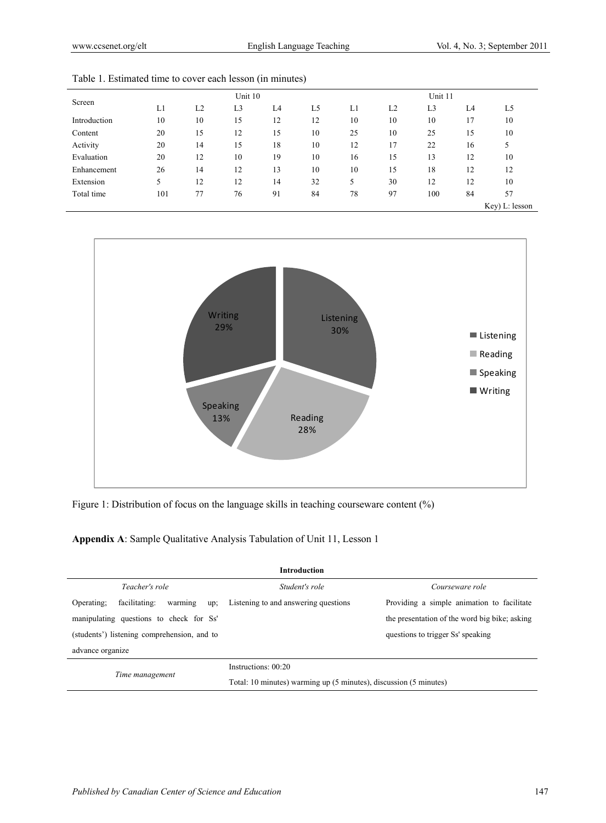| Unit 10        |    |    |    |    |                |    |                |
|----------------|----|----|----|----|----------------|----|----------------|
| L <sub>3</sub> | L4 | L5 | L1 | L2 | L <sub>3</sub> | L4 | L <sub>5</sub> |
| 15             | 12 | 12 | 10 | 10 | 10             | 17 | 10             |
| 12             | 15 | 10 | 25 | 10 | 25             | 15 | 10             |
| 15             | 18 | 10 | 12 | 17 | 22             | 16 | 5              |
| 10             | 19 | 10 | 16 | 15 | 13             | 12 | 10             |
| 12             | 13 | 10 | 10 | 15 | 18             | 12 | 12             |
| 12             | 14 | 32 | 5  | 30 | 12             | 12 | 10             |
| 76             | 91 | 84 | 78 | 97 | 100            | 84 | 57             |
|                |    |    |    |    |                |    | Key) L: lesson |
|                |    |    |    |    |                |    | Unit 11        |





Figure 1: Distribution of focus on the language skills in teaching courseware content (%)

# **Appendix A**: Sample Qualitative Analysis Tabulation of Unit 11, Lesson 1

| <b>Introduction</b>                           |                                                                   |                                               |  |  |
|-----------------------------------------------|-------------------------------------------------------------------|-----------------------------------------------|--|--|
| Teacher's role                                | Student's role                                                    | Courseware role                               |  |  |
| facilitating:<br>Operating:<br>warming<br>up; | Listening to and answering questions                              | Providing a simple animation to facilitate    |  |  |
| manipulating questions to check for Ss'       |                                                                   | the presentation of the word big bike; asking |  |  |
| (students') listening comprehension, and to   |                                                                   | questions to trigger Ss' speaking             |  |  |
| advance organize                              |                                                                   |                                               |  |  |
|                                               | Instructions: 00:20                                               |                                               |  |  |
| Time management                               | Total: 10 minutes) warming up (5 minutes), discussion (5 minutes) |                                               |  |  |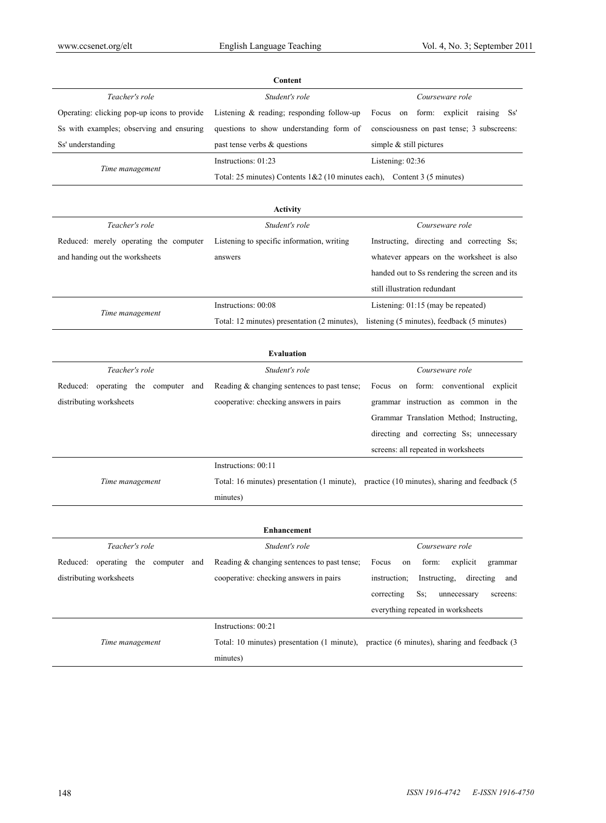| Content                                     |                                                                                    |                                                                                            |  |  |
|---------------------------------------------|------------------------------------------------------------------------------------|--------------------------------------------------------------------------------------------|--|--|
| Teacher's role                              | Student's role                                                                     | Courseware role                                                                            |  |  |
| Operating: clicking pop-up icons to provide | Listening $&$ reading; responding follow-up                                        | Focus on form: explicit raising<br>Ss'                                                     |  |  |
| Ss with examples; observing and ensuring    | questions to show understanding form of                                            | consciousness on past tense; 3 subscreens:                                                 |  |  |
| Ss' understanding                           | past tense verbs & questions                                                       | simple $&$ still pictures                                                                  |  |  |
| Time management                             | Instructions: 01:23                                                                | Listening: 02:36                                                                           |  |  |
|                                             | Total: 25 minutes) Contents $1&2(10 \text{ minutes each})$ , Content 3 (5 minutes) |                                                                                            |  |  |
|                                             |                                                                                    |                                                                                            |  |  |
|                                             | Activity                                                                           |                                                                                            |  |  |
| Teacher's role                              | Student's role                                                                     | Courseware role                                                                            |  |  |
| Reduced: merely operating the computer      | Listening to specific information, writing                                         | Instructing, directing and correcting Ss;                                                  |  |  |
| and handing out the worksheets              | answers                                                                            | whatever appears on the worksheet is also                                                  |  |  |
|                                             |                                                                                    | handed out to Ss rendering the screen and its                                              |  |  |
|                                             |                                                                                    | still illustration redundant                                                               |  |  |
|                                             | Instructions: 00:08                                                                | Listening: 01:15 (may be repeated)                                                         |  |  |
| Time management                             | Total: 12 minutes) presentation (2 minutes),                                       | listening (5 minutes), feedback (5 minutes)                                                |  |  |
|                                             |                                                                                    |                                                                                            |  |  |
|                                             | <b>Evaluation</b>                                                                  |                                                                                            |  |  |
| Teacher's role                              | Student's role                                                                     | Courseware role                                                                            |  |  |
| Reduced: operating the computer and         | Reading & changing sentences to past tense;                                        | on form: conventional<br>Focus<br>explicit                                                 |  |  |
| distributing worksheets                     | cooperative: checking answers in pairs                                             | grammar instruction as common in the                                                       |  |  |
|                                             |                                                                                    | Grammar Translation Method; Instructing,                                                   |  |  |
|                                             |                                                                                    | directing and correcting Ss; unnecessary                                                   |  |  |
|                                             |                                                                                    | screens: all repeated in worksheets                                                        |  |  |
|                                             | Instructions: 00:11                                                                |                                                                                            |  |  |
| Time management                             |                                                                                    | Total: 16 minutes) presentation (1 minute), practice (10 minutes), sharing and feedback (5 |  |  |
|                                             | minutes)                                                                           |                                                                                            |  |  |
|                                             |                                                                                    |                                                                                            |  |  |
| Enhancement                                 |                                                                                    |                                                                                            |  |  |
| Teacher's role                              | Student's role                                                                     | Courseware role                                                                            |  |  |
| Reduced: operating the computer and         | Reading & changing sentences to past tense;                                        | explicit<br>Focus<br>form:<br>on<br>grammar                                                |  |  |
| distributing worksheets                     | cooperative: checking answers in pairs                                             | Instructing,<br>instruction;<br>directing<br>and                                           |  |  |
|                                             |                                                                                    | correcting<br>Ss;<br>unnecessary<br>screens:                                               |  |  |

|                 |                     | everything repeated in worksheets                                                         |
|-----------------|---------------------|-------------------------------------------------------------------------------------------|
|                 | Instructions: 00:21 |                                                                                           |
| Time management |                     | Total: 10 minutes) presentation (1 minute), practice (6 minutes), sharing and feedback (3 |
|                 | minutes)            |                                                                                           |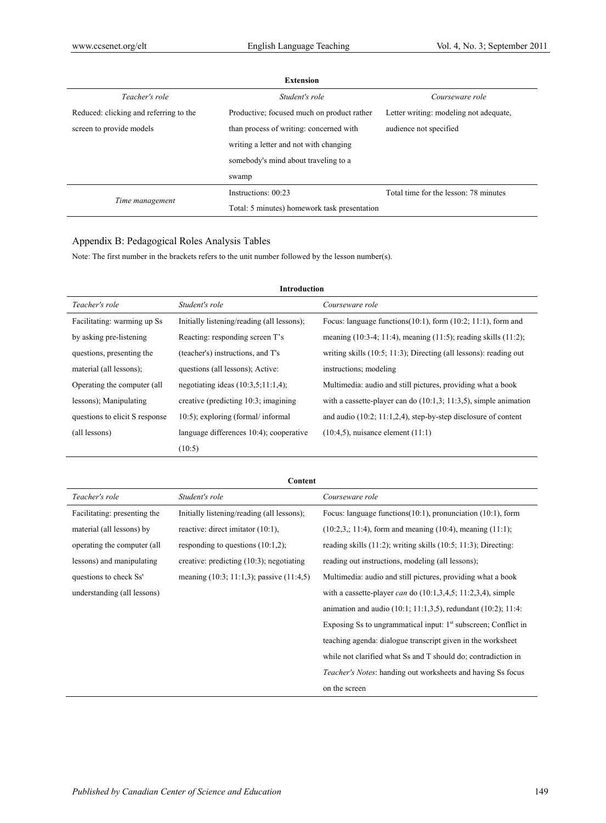| <b>Extension</b>                       |                                              |                                        |  |  |
|----------------------------------------|----------------------------------------------|----------------------------------------|--|--|
| Teacher's role                         | Student's role                               | Courseware role                        |  |  |
| Reduced: clicking and referring to the | Productive; focused much on product rather   | Letter writing: modeling not adequate, |  |  |
| screen to provide models               | than process of writing: concerned with      | audience not specified                 |  |  |
|                                        | writing a letter and not with changing       |                                        |  |  |
|                                        | somebody's mind about traveling to a         |                                        |  |  |
|                                        | swamp                                        |                                        |  |  |
|                                        | Instructions: 00:23                          | Total time for the lesson: 78 minutes  |  |  |
| Time management                        | Total: 5 minutes) homework task presentation |                                        |  |  |

# Appendix B: Pedagogical Roles Analysis Tables

Note: The first number in the brackets refers to the unit number followed by the lesson number(s).

| <b>Introduction</b>            |                                            |                                                                         |  |  |
|--------------------------------|--------------------------------------------|-------------------------------------------------------------------------|--|--|
| Teacher's role                 | Student's role                             | Courseware role                                                         |  |  |
| Facilitating: warming up Ss    | Initially listening/reading (all lessons); | Focus: language functions $(10:1)$ , form $(10:2; 11:1)$ , form and     |  |  |
| by asking pre-listening        | Reacting: responding screen T's            | meaning $(10:3-4; 11:4)$ , meaning $(11:5)$ ; reading skills $(11:2)$ ; |  |  |
| questions, presenting the      | (teacher's) instructions, and T's          | writing skills $(10.5; 11.3)$ ; Directing (all lessons): reading out    |  |  |
| material (all lessons);        | questions (all lessons); Active:           | instructions; modeling                                                  |  |  |
| Operating the computer (all    | negotiating ideas $(10:3,5;11:1,4)$ ;      | Multimedia: audio and still pictures, providing what a book             |  |  |
| lessons); Manipulating         | creative (predicting 10:3; imagining       | with a cassette-player can do $(10:1,3; 11:3,5)$ , simple animation     |  |  |
| questions to elicit S response | $10:5$ ; exploring (formal/informal)       | and audio $(10.2; 11.1, 2.4)$ , step-by-step disclosure of content      |  |  |
| (all lessons)                  | language differences 10:4); cooperative    | $(10:4.5)$ , nuisance element $(11:1)$                                  |  |  |
|                                | (10:5)                                     |                                                                         |  |  |

| Content                      |                                                 |                                                                      |  |  |
|------------------------------|-------------------------------------------------|----------------------------------------------------------------------|--|--|
| Teacher's role               | Student's role                                  | Courseware role                                                      |  |  |
| Facilitating: presenting the | Initially listening/reading (all lessons);      | Focus: language functions $(10:1)$ , pronunciation $(10:1)$ , form   |  |  |
| material (all lessons) by    | reactive: direct imitator $(10:1)$ ,            | $(10:2,3, 11:4)$ , form and meaning $(10:4)$ , meaning $(11:1)$ ;    |  |  |
| operating the computer (all  | responding to questions $(10:1,2)$ ;            | reading skills $(11.2)$ ; writing skills $(10.5; 11.3)$ ; Directing: |  |  |
| lessons) and manipulating    | creative: predicting $(10.3)$ ; negotiating     | reading out instructions, modeling (all lessons);                    |  |  |
| questions to check Ss'       | meaning $(10.3; 11.1, 3)$ ; passive $(11.4, 5)$ | Multimedia: audio and still pictures, providing what a book          |  |  |
| understanding (all lessons)  |                                                 | with a cassette-player can do $(10.1, 3.4, 5, 11.2, 3.4)$ , simple   |  |  |
|                              |                                                 | animation and audio $(10:1; 11:1,3,5)$ , redundant $(10:2); 11:4$ :  |  |  |
|                              |                                                 | Exposing Ss to ungrammatical input: $1st$ subscreen; Conflict in     |  |  |
|                              |                                                 | teaching agenda: dialogue transcript given in the worksheet          |  |  |
|                              |                                                 | while not clarified what Ss and T should do; contradiction in        |  |  |
|                              |                                                 | <i>Teacher's Notes:</i> handing out worksheets and having Ss focus   |  |  |
|                              |                                                 | on the screen                                                        |  |  |